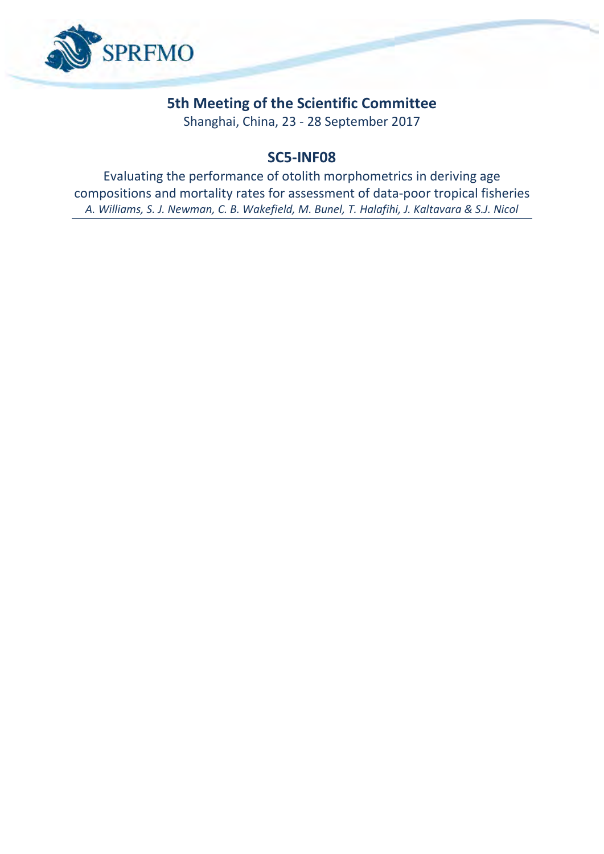

### **5th Meeting of the Scientific Committee**

Shanghai, China, 23 - 28 September 2017

### **SC5-INF08**

Evaluating the performance of otolith morphometrics in deriving age compositions and mortality rates for assessment of data-poor tropical fisheries *A. Williams, S. J. Newman, C. B. Wakefield, M. Bunel, T. Halafihi, J. Kaltavara & S.J. Nicol*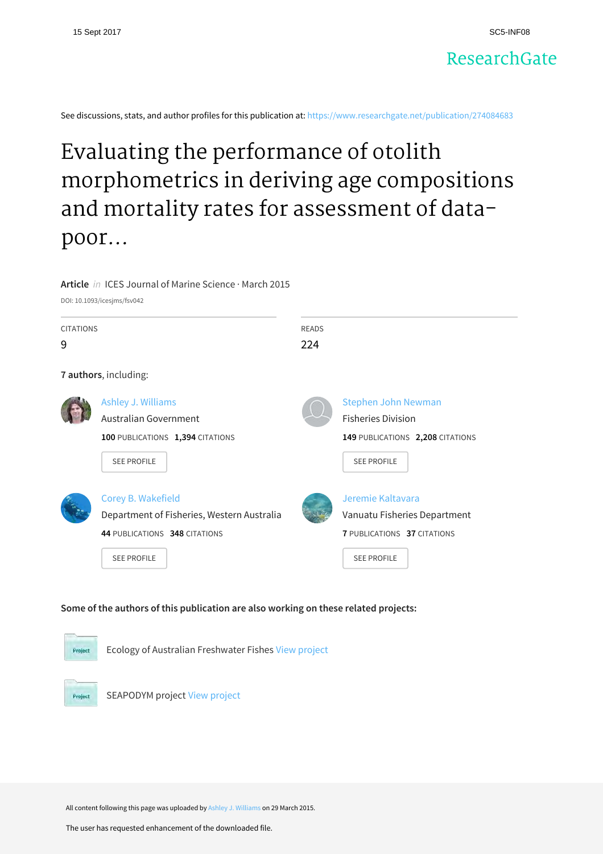## ResearchGate

See discussions, stats, and author profiles for this publication at: https://www.researchgate.net/publication/274084683

# Evaluating the performance of otolith morphometrics in deriving age compositions and mortality rates for assessment of datapoor...

#### Article *in* ICES Journal of Marine Science · March 2015

DOI: 10.1093/icesjms/fsv042

| <b>CITATIONS</b> |                                            | <b>READS</b> |                                  |
|------------------|--------------------------------------------|--------------|----------------------------------|
| 9                |                                            | 224          |                                  |
|                  | 7 authors, including:                      |              |                                  |
|                  | Ashley J. Williams                         |              | Stephen John Newman              |
|                  | Australian Government                      |              | <b>Fisheries Division</b>        |
|                  | 100 PUBLICATIONS 1,394 CITATIONS           |              | 149 PUBLICATIONS 2,208 CITATIONS |
|                  | <b>SEE PROFILE</b>                         |              | <b>SEE PROFILE</b>               |
|                  | Corey B. Wakefield                         |              | Jeremie Kaltavara                |
|                  | Department of Fisheries, Western Australia |              | Vanuatu Fisheries Department     |
|                  | 44 PUBLICATIONS 348 CITATIONS              |              | 7 PUBLICATIONS 37 CITATIONS      |
|                  | <b>SEE PROFILE</b>                         |              | <b>SEE PROFILE</b>               |

#### Some of the authors of this publication are also working on these related projects:



SEAPODYM project View project

Project

All content following this page was uploaded by Ashley J. Williams on 29 March 2015.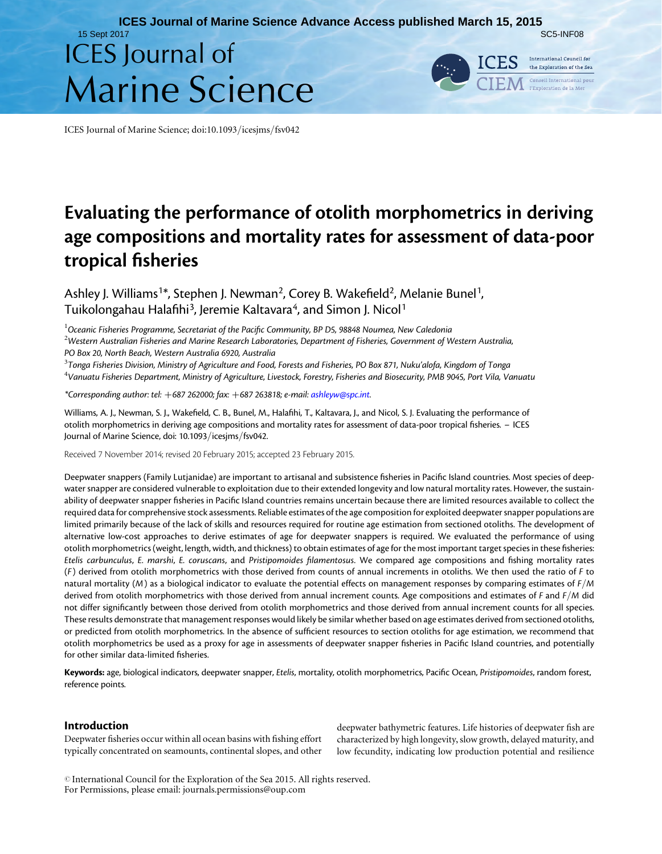**ICES Journal of Marine Science Advance Access published March 15, 2015**

International Council for the Exploration of the Sea

## ICES Journal of Marine Science 15 Sept 2017 SC5-INF08

ICES Journal of Marine Science; doi:10.1093/icesjms/fsv042

## Evaluating the performance of otolith morphometrics in deriving age compositions and mortality rates for assessment of data-poor tropical fisheries

Ashley J. Williams<sup>1\*</sup>, Stephen J. Newman<sup>2</sup>, Corey B. Wakefield<sup>2</sup>, Melanie Bunel<sup>1</sup>, Tuikolongahau Halafihi<sup>3</sup>, Jeremie Kaltavara<sup>4</sup>, and Simon J. Nicol<sup>1</sup>

 $^1$ Oceanic Fisheries Programme, Secretariat of the Pacific Community, BP D5, 98848 Noumea, New Caledonia  $^2$ Western Australian Fisheries and Marine Research Laboratories, Department of Fisheries, Government of Western Australia, PO Box 20, North Beach, Western Australia 6920, Australia

 $^3$ Tonga Fisheries Division, Ministry of Agriculture and Food, Forests and Fisheries, PO Box 871, Nuku'alofa, Kingdom of Tonga  $^4$ Vanuatu Fisheries Department, Ministry of Agriculture, Livestock, Forestry, Fisheries and Biosecurity, PMB 9045, Port Vila, Vanuatu

\*Corresponding author: tel:  $+687 262000$ ; fax:  $+687 263818$ ; e-mail: [ashleyw@spc.int](mailto:ashleyw@spc.int).

Williams, A. J., Newman, S. J., Wakefield, C. B., Bunel, M., Halafihi, T., Kaltavara, J., and Nicol, S. J. Evaluating the performance of otolith morphometrics in deriving age compositions and mortality rates for assessment of data-poor tropical fisheries. – ICES Journal of Marine Science, doi: 10.1093/icesjms/fsv042.

Received 7 November 2014; revised 20 February 2015; accepted 23 February 2015.

Deepwater snappers (Family Lutjanidae) are important to artisanal and subsistence fisheries in Pacific Island countries. Most species of deepwater snapper are considered vulnerable to exploitation due to their extended longevity and low natural mortality rates. However, the sustainability of deepwater snapper fisheries in Pacific Island countries remains uncertain because there are limited resources available to collect the required data for comprehensive stock assessments. Reliable estimates of the age composition for exploited deepwater snapper populations are limited primarily because of the lack of skills and resources required for routine age estimation from sectioned otoliths. The development of alternative low-cost approaches to derive estimates of age for deepwater snappers is required. We evaluated the performance of using otolith morphometrics (weight, length, width, and thickness) to obtain estimates of age for the most important target species in these fisheries: Etelis carbunculus, E. marshi, E. coruscans, and Pristipomoides filamentosus. We compared age compositions and fishing mortality rates  $(F)$  derived from otolith morphometrics with those derived from counts of annual increments in otoliths. We then used the ratio of F to natural mortality ( $M$ ) as a biological indicator to evaluate the potential effects on management responses by comparing estimates of  $F/M$ derived from otolith morphometrics with those derived from annual increment counts. Age compositions and estimates of F and F/M did not differ significantly between those derived from otolith morphometrics and those derived from annual increment counts for all species. These results demonstrate that management responses would likely be similar whether based on age estimates derived from sectioned otoliths, or predicted from otolith morphometrics. In the absence of sufficient resources to section otoliths for age estimation, we recommend that otolith morphometrics be used as a proxy for age in assessments of deepwater snapper fisheries in Pacific Island countries, and potentially for other similar data-limited fisheries.

Keywords: age, biological indicators, deepwater snapper, Etelis, mortality, otolith morphometrics, Pacific Ocean, Pristipomoides, random forest, reference points.

#### Introduction

Deepwater fisheries occur within all ocean basins with fishing effort typically concentrated on seamounts, continental slopes, and other

deepwater bathymetric features. Life histories of deepwater fish are characterized by high longevity, slow growth, delayed maturity, and low fecundity, indicating low production potential and resilience

© International Council for the Exploration of the Sea 2015. All rights reserved. For Permissions, please email: journals.permissions@oup.com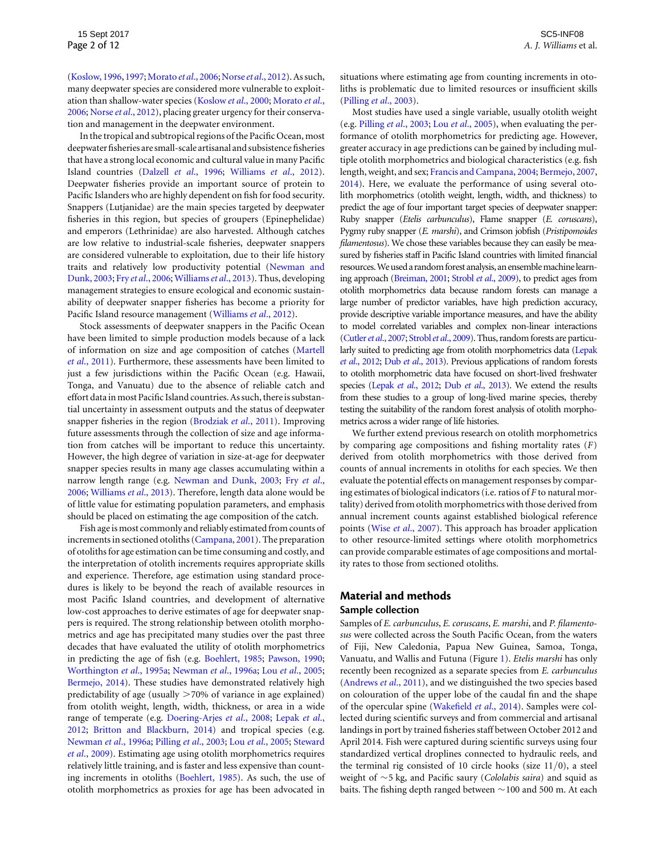([Koslow, 1996,](#page-12-0) [1997](#page-12-0); [Morato](#page-12-0) et al., 2006; Norse et al[., 2012\)](#page-13-0). As such, many deepwater species are considered more vulnerable to exploitation than shallow-water species ([Koslow](#page-12-0) et al., 2000; [Morato](#page-12-0) et al., [2006;](#page-12-0) Norse et al[., 2012\)](#page-13-0), placing greater urgency for their conservation and management in the deepwater environment.

In the tropical and subtropical regions of the Pacific Ocean, most deepwater fisheries are small-scale artisanal and subsistence fisheries that have a strong local economic and cultural value in many Pacific Island countries (Dalzell et al[., 1996;](#page-12-0) [Williams](#page-13-0) et al., 2012). Deepwater fisheries provide an important source of protein to Pacific Islanders who are highly dependent on fish for food security. Snappers (Lutjanidae) are the main species targeted by deepwater fisheries in this region, but species of groupers (Epinephelidae) and emperors (Lethrinidae) are also harvested. Although catches are low relative to industrial-scale fisheries, deepwater snappers are considered vulnerable to exploitation, due to their life history traits and relatively low productivity potential [\(Newman and](#page-12-0) [Dunk, 2003;](#page-12-0) Fry et al[., 2006;](#page-12-0) [Williams](#page-13-0) et al., 2013). Thus, developing management strategies to ensure ecological and economic sustainability of deepwater snapper fisheries has become a priority for Pacific Island resource management ([Williams](#page-13-0) et al., 2012).

Stock assessments of deepwater snappers in the Pacific Ocean have been limited to simple production models because of a lack of information on size and age composition of catches [\(Martell](#page-12-0) et al[., 2011\)](#page-12-0). Furthermore, these assessments have been limited to just a few jurisdictions within the Pacific Ocean (e.g. Hawaii, Tonga, and Vanuatu) due to the absence of reliable catch and effort data in most Pacific Island countries. As such, thereis substantial uncertainty in assessment outputs and the status of deepwater snapper fisheries in the region [\(Brodziak](#page-12-0) et al., 2011). Improving future assessments through the collection of size and age information from catches will be important to reduce this uncertainty. However, the high degree of variation in size-at-age for deepwater snapper species results in many age classes accumulating within a narrow length range (e.g. [Newman and Dunk, 2003](#page-12-0); Fry [et al](#page-12-0)., [2006;](#page-12-0) [Williams](#page-13-0) et al., 2013). Therefore, length data alone would be of little value for estimating population parameters, and emphasis should be placed on estimating the age composition of the catch.

Fish age is most commonly and reliably estimated from counts of increments in sectioned otoliths [\(Campana, 2001\)](#page-12-0). The preparation of otoliths for age estimation can be time consuming and costly, and the interpretation of otolith increments requires appropriate skills and experience. Therefore, age estimation using standard procedures is likely to be beyond the reach of available resources in most Pacific Island countries, and development of alternative low-cost approaches to derive estimates of age for deepwater snappers is required. The strong relationship between otolith morphometrics and age has precipitated many studies over the past three decades that have evaluated the utility of otolith morphometrics in predicting the age of fish (e.g. [Boehlert, 1985;](#page-12-0) [Pawson, 1990](#page-13-0); [Worthington](#page-13-0) et al., 1995a; [Newman](#page-13-0) et al., 1996a; Lou et al[., 2005](#page-12-0); [Bermejo, 2014](#page-12-0)). These studies have demonstrated relatively high predictability of age (usually  $>70\%$  of variance in age explained) from otolith weight, length, width, thickness, or area in a wide range of temperate (e.g. [Doering-Arjes](#page-12-0) et al., 2008; [Lepak](#page-12-0) et al., [2012;](#page-12-0) [Britton and Blackburn, 2014\)](#page-12-0) and tropical species (e.g. [Newman](#page-13-0) et al., 1996a; Pilling et al[., 2003](#page-13-0); Lou et al[., 2005](#page-12-0); [Steward](#page-13-0) et al[., 2009](#page-13-0)). Estimating age using otolith morphometrics requires relatively little training, and is faster and less expensive than counting increments in otoliths [\(Boehlert, 1985](#page-12-0)). As such, the use of otolith morphometrics as proxies for age has been advocated in

situations where estimating age from counting increments in otoliths is problematic due to limited resources or insufficient skills (Pilling et al[., 2003\)](#page-13-0).

Most studies have used a single variable, usually otolith weight (e.g. [Pilling](#page-13-0) et al., 2003; Lou et al[., 2005\)](#page-12-0), when evaluating the performance of otolith morphometrics for predicting age. However, greater accuracy in age predictions can be gained by including multiple otolith morphometrics and biological characteristics (e.g. fish length, weight, and sex; [Francis and Campana, 2004;](#page-12-0) [Bermejo, 2007,](#page-12-0) [2014\)](#page-12-0). Here, we evaluate the performance of using several otolith morphometrics (otolith weight, length, width, and thickness) to predict the age of four important target species of deepwater snapper: Ruby snapper (Etelis carbunculus), Flame snapper (E. coruscans), Pygmy ruby snapper (E. marshi), and Crimson jobfish (Pristipomoides filamentosus). We chose these variables because they can easily be measured by fisheries staff in Pacific Island countries with limited financial resources. We used a random forest analysis, an ensemble machine learning approach ([Breiman, 2001;](#page-12-0) Strobl et al[., 2009\)](#page-13-0), to predict ages from otolith morphometrics data because random forests can manage a large number of predictor variables, have high prediction accuracy, provide descriptive variable importance measures, and have the ability to model correlated variables and complex non-linear interactions (Cutler et al[., 2007](#page-12-0); Strobl et al[., 2009\)](#page-13-0). Thus, random forests are particularly suited to predicting age from otolith morphometrics data [\(Lepak](#page-12-0) et al[., 2012](#page-12-0); Dub et al[., 2013\)](#page-12-0). Previous applications of random forests to otolith morphometric data have focused on short-lived freshwater species (Lepak et al[., 2012](#page-12-0); Dub et al., [2013](#page-12-0)). We extend the results from these studies to a group of long-lived marine species, thereby testing the suitability of the random forest analysis of otolith morphometrics across a wider range of life histories.

We further extend previous research on otolith morphometrics by comparing age compositions and fishing mortality rates  $(F)$ derived from otolith morphometrics with those derived from counts of annual increments in otoliths for each species. We then evaluate the potential effects on management responses by comparing estimates of biological indicators (i.e. ratios of F to natural mortality) derived from otolith morphometrics with those derived from annual increment counts against established biological reference points (Wise et al[., 2007\)](#page-13-0). This approach has broader application to other resource-limited settings where otolith morphometrics can provide comparable estimates of age compositions and mortality rates to those from sectioned otoliths.

#### Material and methods Sample collection

Samples of E. carbunculus, E. coruscans, E. marshi, and P. filamentosus were collected across the South Pacific Ocean, from the waters of Fiji, New Caledonia, Papua New Guinea, Samoa, Tonga, Vanuatu, and Wallis and Futuna (Figure [1](#page-4-0)). Etelis marshi has only recently been recognized as a separate species from E. carbunculus [\(Andrews](#page-12-0) et al., 2011), and we distinguished the two species based on colouration of the upper lobe of the caudal fin and the shape of the opercular spine ([Wakefield](#page-13-0) et al., 2014). Samples were collected during scientific surveys and from commercial and artisanal landings in port by trained fisheries staff between October 2012 and April 2014. Fish were captured during scientific surveys using four standardized vertical droplines connected to hydraulic reels, and the terminal rig consisted of 10 circle hooks (size 11/0), a steel weight of  $\sim$  5 kg, and Pacific saury (*Cololabis saira*) and squid as baits. The fishing depth ranged between  $\sim$ 100 and 500 m. At each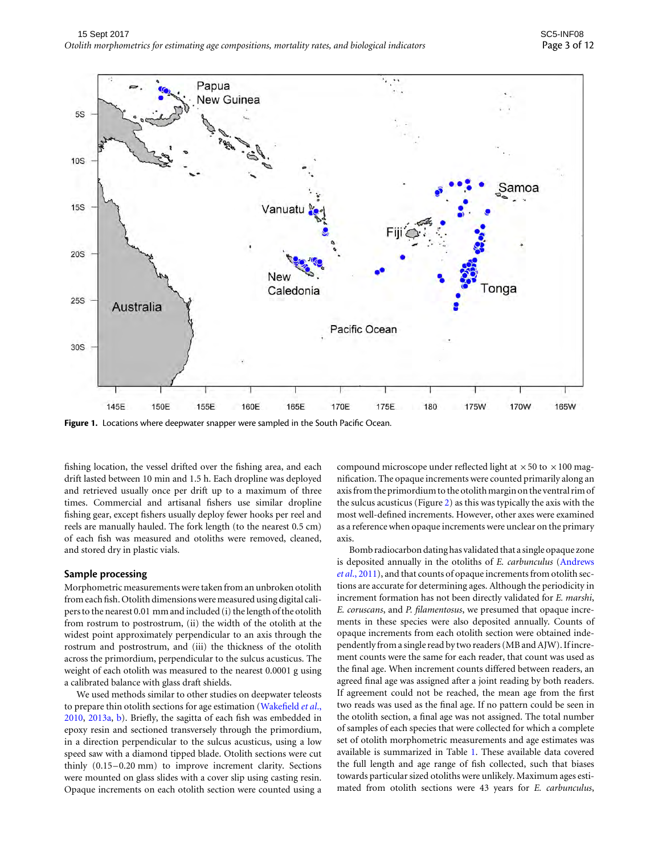<span id="page-4-0"></span>

Figure 1. Locations where deepwater snapper were sampled in the South Pacific Ocean.

fishing location, the vessel drifted over the fishing area, and each drift lasted between 10 min and 1.5 h. Each dropline was deployed and retrieved usually once per drift up to a maximum of three times. Commercial and artisanal fishers use similar dropline fishing gear, except fishers usually deploy fewer hooks per reel and reels are manually hauled. The fork length (to the nearest 0.5 cm) of each fish was measured and otoliths were removed, cleaned, and stored dry in plastic vials.

#### Sample processing

Morphometric measurements were taken from an unbroken otolith from each fish. Otolith dimensions were measured using digital calipers to the nearest 0.01 mm and included (i) the length of the otolith from rostrum to postrostrum, (ii) the width of the otolith at the widest point approximately perpendicular to an axis through the rostrum and postrostrum, and (iii) the thickness of the otolith across the primordium, perpendicular to the sulcus acusticus. The weight of each otolith was measured to the nearest 0.0001 g using a calibrated balance with glass draft shields.

We used methods similar to other studies on deepwater teleosts to prepare thin otolith sections for age estimation [\(Wakefield](#page-13-0) et al., [2010,](#page-13-0) [2013a,](#page-13-0) [b](#page-13-0)). Briefly, the sagitta of each fish was embedded in epoxy resin and sectioned transversely through the primordium, in a direction perpendicular to the sulcus acusticus, using a low speed saw with a diamond tipped blade. Otolith sections were cut thinly (0.15–0.20 mm) to improve increment clarity. Sections were mounted on glass slides with a cover slip using casting resin. Opaque increments on each otolith section were counted using a

compound microscope under reflected light at  $\times$  50 to  $\times$  100 magnification. The opaque increments were counted primarily along an axis from the primordium to the otolith margin on the ventral rim of the sulcus acusticus (Figure [2\)](#page-5-0) as this was typically the axis with the most well-defined increments. However, other axes were examined as a reference when opaque increments were unclear on the primary axis.

Bomb radiocarbon dating has validated that a single opaque zone is deposited annually in the otoliths of E. carbunculus [\(Andrews](#page-12-0) et al[., 2011](#page-12-0)), and that counts of opaque increments from otolith sections are accurate for determining ages. Although the periodicity in increment formation has not been directly validated for E. marshi, E. coruscans, and P. filamentosus, we presumed that opaque increments in these species were also deposited annually. Counts of opaque increments from each otolith section were obtained independently from a single read by two readers (MB and AJW). If increment counts were the same for each reader, that count was used as the final age. When increment counts differed between readers, an agreed final age was assigned after a joint reading by both readers. If agreement could not be reached, the mean age from the first two reads was used as the final age. If no pattern could be seen in the otolith section, a final age was not assigned. The total number of samples of each species that were collected for which a complete set of otolith morphometric measurements and age estimates was available is summarized in Table [1](#page-5-0). These available data covered the full length and age range of fish collected, such that biases towards particular sized otoliths were unlikely. Maximum ages estimated from otolith sections were 43 years for E. carbunculus,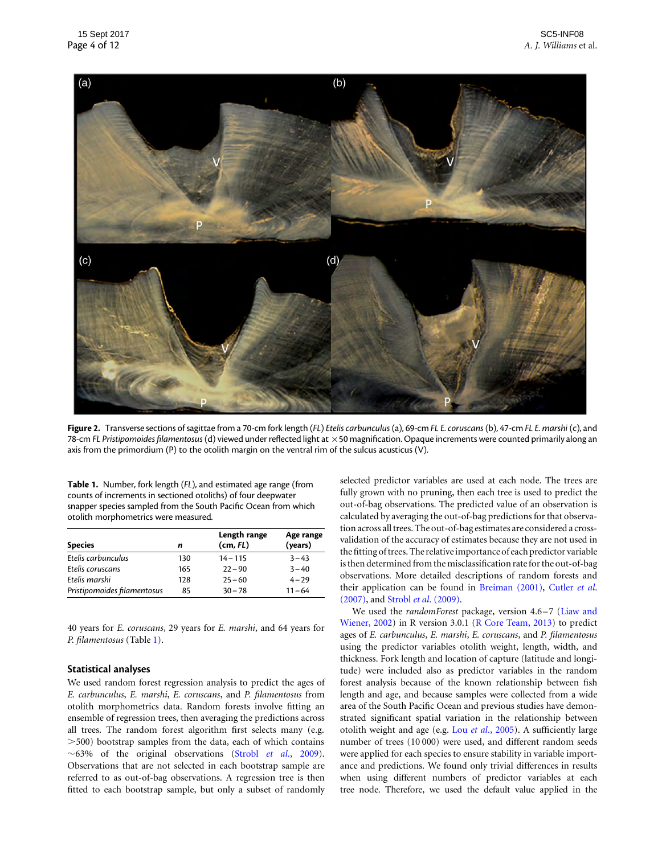<span id="page-5-0"></span>

Figure 2. Transverse sections of sagittae from a 70-cm fork length (FL) Etelis carbunculus (a), 69-cm FL E. coruscans (b), 47-cm FL E. marshi (c), and 78-cm FL Pristipomoides filamentosus (d) viewed under reflected light at ×50 magnification. Opaque increments were counted primarily along an axis from the primordium (P) to the otolith margin on the ventral rim of the sulcus acusticus (V).

Table 1. Number, fork length (FL), and estimated age range (from counts of increments in sectioned otoliths) of four deepwater snapper species sampled from the South Pacific Ocean from which otolith morphometrics were measured.

| <b>Species</b>              | n   | Length range<br>(cm, FL) | Age range<br>(years) |
|-----------------------------|-----|--------------------------|----------------------|
| Etelis carbunculus          | 130 | $14 - 115$               | $3 - 43$             |
| Etelis coruscans            | 165 | $22 - 90$                | $3 - 40$             |
| Etelis marshi               | 128 | $25 - 60$                | $4 - 29$             |
| Pristipomoides filamentosus | 85  | $30 - 78$                | $11 - 64$            |

40 years for E. coruscans, 29 years for E. marshi, and 64 years for P. filamentosus (Table 1).

#### Statistical analyses

We used random forest regression analysis to predict the ages of E. carbunculus, E. marshi, E. coruscans, and P. filamentosus from otolith morphometrics data. Random forests involve fitting an ensemble of regression trees, then averaging the predictions across all trees. The random forest algorithm first selects many (e.g.  $>$  500) bootstrap samples from the data, each of which contains  $\sim$  63% of the original observations (Strobl *et al.*, 2009). Observations that are not selected in each bootstrap sample are referred to as out-of-bag observations. A regression tree is then fitted to each bootstrap sample, but only a subset of randomly selected predictor variables are used at each node. The trees are fully grown with no pruning, then each tree is used to predict the out-of-bag observations. The predicted value of an observation is calculated by averaging the out-of-bag predictions for that observation across all trees. The out-of-bag estimates are considered a crossvalidation of the accuracy of estimates because they are not used in the fitting of trees. The relative importance of each predictor variable is then determined from the misclassification rate for the out-of-bag observations. More detailed descriptions of random forests and their application can be found in [Breiman \(2001\)](#page-12-0), [Cutler](#page-12-0) et al. [\(2007\),](#page-12-0) and Strobl et al[. \(2009\)](#page-13-0).

We used the randomForest package, version 4.6-7 ([Liaw and](#page-12-0) [Wiener, 2002](#page-12-0)) in R version 3.0.1 [\(R Core Team, 2013\)](#page-13-0) to predict ages of E. carbunculus, E. marshi, E. coruscans, and P. filamentosus using the predictor variables otolith weight, length, width, and thickness. Fork length and location of capture (latitude and longitude) were included also as predictor variables in the random forest analysis because of the known relationship between fish length and age, and because samples were collected from a wide area of the South Pacific Ocean and previous studies have demonstrated significant spatial variation in the relationship between otolith weight and age (e.g. Lou et al[., 2005\)](#page-12-0). A sufficiently large number of trees (10 000) were used, and different random seeds were applied for each species to ensure stability in variable importance and predictions. We found only trivial differences in results when using different numbers of predictor variables at each tree node. Therefore, we used the default value applied in the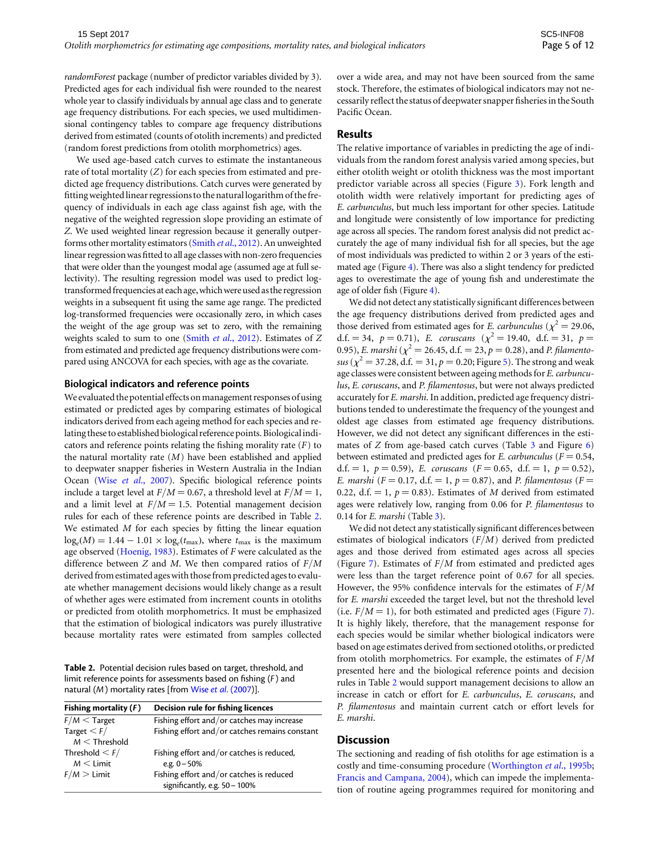randomForest package (number of predictor variables divided by 3). Predicted ages for each individual fish were rounded to the nearest whole year to classify individuals by annual age class and to generate age frequency distributions. For each species, we used multidimensional contingency tables to compare age frequency distributions derived from estimated (counts of otolith increments) and predicted (random forest predictions from otolith morphometrics) ages.

We used age-based catch curves to estimate the instantaneous rate of total mortality (Z) for each species from estimated and predicted age frequency distributions. Catch curves were generated by fittingweighted linear regressions to the natural logarithm of thefrequency of individuals in each age class against fish age, with the negative of the weighted regression slope providing an estimate of Z. We used weighted linear regression because it generally outperforms other mortality estimators (Smith et al[., 2012](#page-13-0)). An unweighted linear regression was fitted to all age classes with non-zero frequencies that were older than the youngest modal age (assumed age at full selectivity). The resulting regression model was used to predict logtransformed frequencies at each age, which were used as the regression weights in a subsequent fit using the same age range. The predicted log-transformed frequencies were occasionally zero, in which cases the weight of the age group was set to zero, with the remaining weights scaled to sum to one (Smith et al[., 2012\)](#page-13-0). Estimates of  $Z$ from estimated and predicted age frequency distributions were compared using ANCOVA for each species, with age as the covariate.

#### Biological indicators and reference points

We evaluated the potential effects on management responses of using estimated or predicted ages by comparing estimates of biological indicators derived from each ageing method for each species and relating these to established biological reference points. Biologicalindicators and reference points relating the fishing morality rate  $(F)$  to the natural mortality rate  $(M)$  have been established and applied to deepwater snapper fisheries in Western Australia in the Indian Ocean (Wise et al[., 2007](#page-13-0)). Specific biological reference points include a target level at  $F/M = 0.67$ , a threshold level at  $F/M = 1$ , and a limit level at  $F/M = 1.5$ . Potential management decision rules for each of these reference points are described in Table 2. We estimated  $M$  for each species by fitting the linear equation  $log_e(M) = 1.44 - 1.01 \times log_e(t_{\text{max}})$ , where  $t_{\text{max}}$  is the maximum age observed [\(Hoenig, 1983](#page-12-0)). Estimates of F were calculated as the difference between  $Z$  and  $M$ . We then compared ratios of  $F/M$ derived from estimated ages with those from predicted ages to evaluate whether management decisions would likely change as a result of whether ages were estimated from increment counts in otoliths or predicted from otolith morphometrics. It must be emphasized that the estimation of biological indicators was purely illustrative because mortality rates were estimated from samples collected

Table 2. Potential decision rules based on target, threshold, and limit reference points for assessments based on fishing (F) and natural (M) mortality rates [from Wise et al[. \(2007\)](#page-13-0)].

| Fishing mortality (F) | Decision rule for fishing licences             |  |  |
|-----------------------|------------------------------------------------|--|--|
| $F/M < T$ arget       | Fishing effort and/or catches may increase     |  |  |
| Target $\lt$ F/       | Fishing effort and/or catches remains constant |  |  |
| $M <$ Threshold       |                                                |  |  |
| Threshold $\lt$ F/    | Fishing effort and/or catches is reduced,      |  |  |
| $M <$ Limit           | e.g. $0 - 50%$                                 |  |  |
| $F/M >$ Limit         | Fishing effort and/or catches is reduced       |  |  |
|                       | significantly, e.g. 50 - 100%                  |  |  |

over a wide area, and may not have been sourced from the same stock. Therefore, the estimates of biological indicators may not necessarily reflect the status of deepwater snapper fisheries in the South Pacific Ocean.

#### Results

The relative importance of variables in predicting the age of individuals from the random forest analysis varied among species, but either otolith weight or otolith thickness was the most important predictor variable across all species (Figure [3](#page-7-0)). Fork length and otolith width were relatively important for predicting ages of E. carbunculus, but much less important for other species. Latitude and longitude were consistently of low importance for predicting age across all species. The random forest analysis did not predict accurately the age of many individual fish for all species, but the age of most individuals was predicted to within 2 or 3 years of the estimated age (Figure [4\)](#page-8-0). There was also a slight tendency for predicted ages to overestimate the age of young fish and underestimate the age of older fish (Figure [4\)](#page-8-0).

We did not detect any statistically significant differences between the age frequency distributions derived from predicted ages and those derived from estimated ages for *E. carbunculus* ( $\chi^2$  = 29.06, d.f. = 34,  $p = 0.71$ ), E. coruscans ( $\chi^2 = 19.40$ , d.f. = 31,  $p =$ 0.95), *E. marshi* ( $\chi^2 = 26.45$ , d.f. = 23,  $p = 0.28$ ), and *P. filamento*sus ( $\chi^2$  = 37.28, d.f. = 31, p = 0.20; Figure [5\)](#page-9-0). The strong and weak age classes were consistent between ageing methods for E. carbunculus, E. coruscans, and P. filamentosus, but were not always predicted accurately for E. marshi. In addition, predicted age frequency distributions tended to underestimate the frequency of the youngest and oldest age classes from estimated age frequency distributions. However, we did not detect any significant differences in the estimates of Z from age-based catch curves (Table [3](#page-10-0) and Figure [6\)](#page-10-0) between estimated and predicted ages for E. carbunculus ( $F = 0.54$ , d.f. = 1,  $p = 0.59$ ), E. coruscans (F = 0.65, d.f. = 1,  $p = 0.52$ ), E. marshi (F = 0.17, d.f. = 1, p = 0.87), and P. filamentosus (F = 0.22, d.f. = 1,  $p = 0.83$ ). Estimates of M derived from estimated ages were relatively low, ranging from 0.06 for P. filamentosus to 0.14 for E. marshi (Table [3\)](#page-10-0).

We did not detect any statistically significant differences between estimates of biological indicators  $(F/M)$  derived from predicted ages and those derived from estimated ages across all species (Figure [7\)](#page-11-0). Estimates of  $F/M$  from estimated and predicted ages were less than the target reference point of 0.67 for all species. However, the 95% confidence intervals for the estimates of  $F/M$ for E. marshi exceeded the target level, but not the threshold level (i.e.  $F/M = 1$ ), for both estimated and predicted ages (Figure [7](#page-11-0)). It is highly likely, therefore, that the management response for each species would be similar whether biological indicators were based on age estimates derived from sectioned otoliths, or predicted from otolith morphometrics. For example, the estimates of  $F/M$ presented here and the biological reference points and decision rules in Table 2 would support management decisions to allow an increase in catch or effort for E. carbunculus, E. coruscans, and P. filamentosus and maintain current catch or effort levels for E. marshi.

#### **Discussion**

The sectioning and reading of fish otoliths for age estimation is a costly and time-consuming procedure ([Worthington](#page-13-0) et al., 1995b; [Francis and Campana, 2004\)](#page-12-0), which can impede the implementation of routine ageing programmes required for monitoring and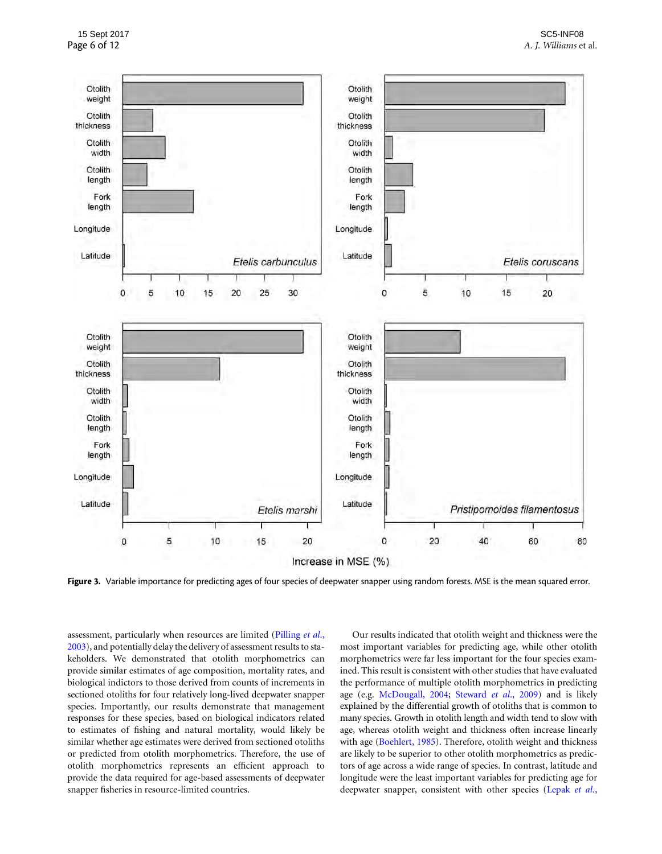<span id="page-7-0"></span>

Figure 3. Variable importance for predicting ages of four species of deepwater snapper using random forests. MSE is the mean squared error.

assessment, particularly when resources are limited ([Pilling](#page-13-0) et al., [2003\)](#page-13-0), and potentially delay the delivery of assessment results to stakeholders. We demonstrated that otolith morphometrics can provide similar estimates of age composition, mortality rates, and biological indictors to those derived from counts of increments in sectioned otoliths for four relatively long-lived deepwater snapper species. Importantly, our results demonstrate that management responses for these species, based on biological indicators related to estimates of fishing and natural mortality, would likely be similar whether age estimates were derived from sectioned otoliths or predicted from otolith morphometrics. Therefore, the use of otolith morphometrics represents an efficient approach to provide the data required for age-based assessments of deepwater snapper fisheries in resource-limited countries.

Our results indicated that otolith weight and thickness were the most important variables for predicting age, while other otolith morphometrics were far less important for the four species examined. This result is consistent with other studies that have evaluated the performance of multiple otolith morphometrics in predicting age (e.g. [McDougall, 2004;](#page-12-0) [Steward](#page-13-0) et al., 2009) and is likely explained by the differential growth of otoliths that is common to many species. Growth in otolith length and width tend to slow with age, whereas otolith weight and thickness often increase linearly with age ([Boehlert, 1985](#page-12-0)). Therefore, otolith weight and thickness are likely to be superior to other otolith morphometrics as predictors of age across a wide range of species. In contrast, latitude and longitude were the least important variables for predicting age for deepwater snapper, consistent with other species [\(Lepak](#page-12-0) et al.,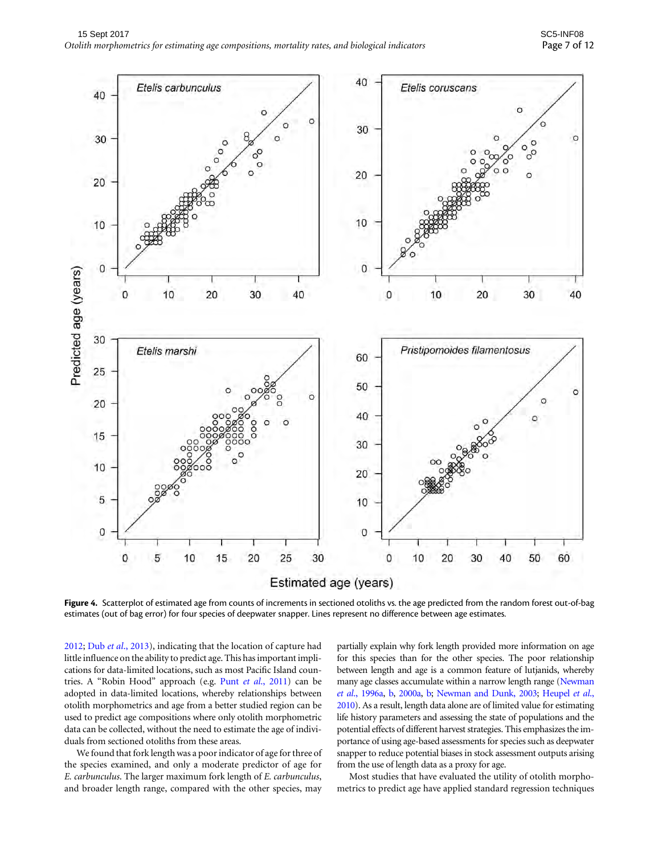<span id="page-8-0"></span>

Figure 4. Scatterplot of estimated age from counts of increments in sectioned otoliths vs. the age predicted from the random forest out-of-bag estimates (out of bag error) for four species of deepwater snapper. Lines represent no difference between age estimates.

[2012;](#page-12-0) Dub et al[., 2013\)](#page-12-0), indicating that the location of capture had little influence on the ability to predict age. This has important implications for data-limited locations, such as most Pacific Island coun-tries. A "Robin Hood" approach (e.g. Punt et al[., 2011](#page-13-0)) can be adopted in data-limited locations, whereby relationships between otolith morphometrics and age from a better studied region can be used to predict age compositions where only otolith morphometric data can be collected, without the need to estimate the age of individuals from sectioned otoliths from these areas.

We found that fork length was a poor indicator of age for three of the species examined, and only a moderate predictor of age for E. carbunculus. The larger maximum fork length of E. carbunculus, and broader length range, compared with the other species, may

partially explain why fork length provided more information on age for this species than for the other species. The poor relationship between length and age is a common feature of lutjanids, whereby many age classes accumulate within a narrow length range [\(Newman](#page-13-0) et al[., 1996a,](#page-13-0) [b](#page-13-0), [2000a](#page-12-0), [b](#page-12-0); [Newman and Dunk, 2003;](#page-12-0) [Heupel](#page-12-0) et al., [2010](#page-12-0)). As a result, length data alone are of limited value for estimating life history parameters and assessing the state of populations and the potential effects of different harvest strategies. This emphasizes the importance of using age-based assessments for species such as deepwater snapper to reduce potential biases in stock assessment outputs arising from the use of length data as a proxy for age.

Most studies that have evaluated the utility of otolith morphometrics to predict age have applied standard regression techniques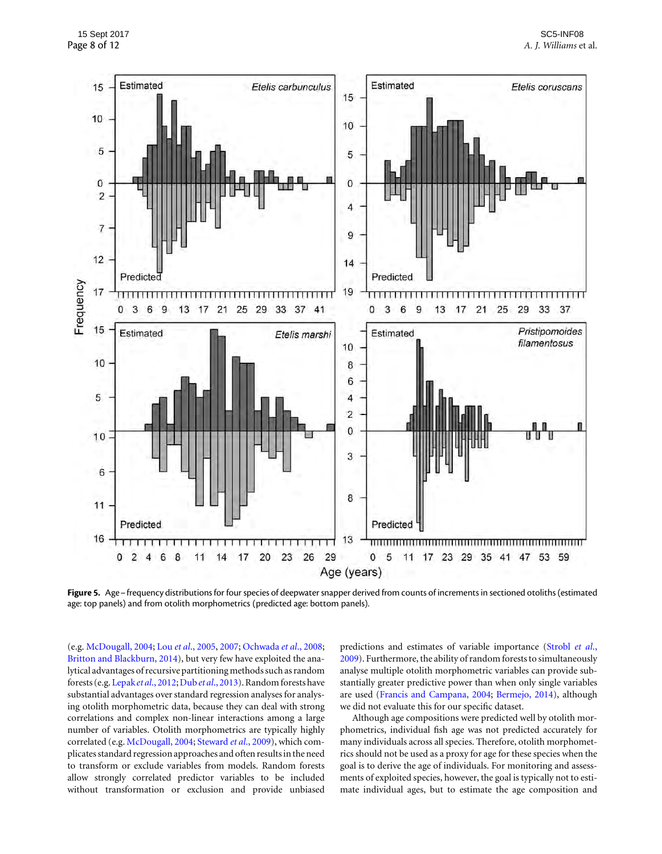<span id="page-9-0"></span>

Figure 5. Age-frequency distributions for four species of deepwater snapper derived from counts of increments in sectioned otoliths (estimated age: top panels) and from otolith morphometrics (predicted age: bottom panels).

(e.g. [McDougall, 2004](#page-12-0); Lou et al[., 2005,](#page-12-0) [2007;](#page-12-0) [Ochwada](#page-13-0) et al., 2008; [Britton and Blackburn, 2014](#page-12-0)), but very few have exploited the analytical advantages of recursive partitioning methods such as random forests (e.g. Lepak et al[., 2012](#page-12-0); Dub et al[., 2013](#page-12-0)). Random forests have substantial advantages over standard regression analyses for analysing otolith morphometric data, because they can deal with strong correlations and complex non-linear interactions among a large number of variables. Otolith morphometrics are typically highly correlated (e.g. [McDougall, 2004;](#page-12-0) [Steward](#page-13-0) et al., 2009), which complicates standard regression approaches and often results in the need to transform or exclude variables from models. Random forests allow strongly correlated predictor variables to be included without transformation or exclusion and provide unbiased predictions and estimates of variable importance [\(Strobl](#page-13-0) et al., [2009\)](#page-13-0). Furthermore, the ability of random forests to simultaneously analyse multiple otolith morphometric variables can provide substantially greater predictive power than when only single variables are used [\(Francis and Campana, 2004](#page-12-0); [Bermejo, 2014\)](#page-12-0), although we did not evaluate this for our specific dataset.

Although age compositions were predicted well by otolith morphometrics, individual fish age was not predicted accurately for many individuals across all species. Therefore, otolith morphometrics should not be used as a proxy for age for these species when the goal is to derive the age of individuals. For monitoring and assessments of exploited species, however, the goal is typically not to estimate individual ages, but to estimate the age composition and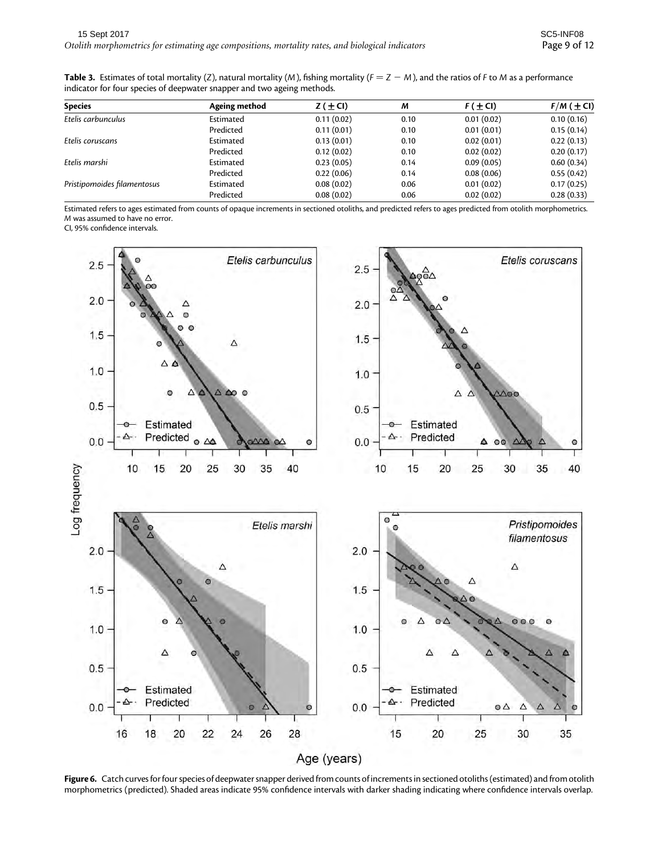<span id="page-10-0"></span>

| <b>Table 3.</b> Estimates of total mortality (Z), natural mortality (M), fishing mortality ( $F = Z - M$ ), and the ratios of F to M as a performance |
|-------------------------------------------------------------------------------------------------------------------------------------------------------|
| indicator for four species of deepwater snapper and two ageing methods.                                                                               |

| <b>Species</b>              | Ageing method | $Z(\pm \text{Cl})$ | M    | $F(\pm \text{Cl})$ | $F/M$ ( $\pm$ CI) |
|-----------------------------|---------------|--------------------|------|--------------------|-------------------|
| Etelis carbunculus          | Estimated     | 0.11(0.02)         | 0.10 | 0.01(0.02)         | 0.10(0.16)        |
|                             | Predicted     | 0.11(0.01)         | 0.10 | 0.01(0.01)         | 0.15(0.14)        |
| Etelis coruscans            | Estimated     | 0.13(0.01)         | 0.10 | 0.02(0.01)         | 0.22(0.13)        |
|                             | Predicted     | 0.12(0.02)         | 0.10 | 0.02(0.02)         | 0.20(0.17)        |
| Etelis marshi               | Estimated     | 0.23(0.05)         | 0.14 | 0.09(0.05)         | 0.60(0.34)        |
|                             | Predicted     | 0.22(0.06)         | 0.14 | 0.08(0.06)         | 0.55(0.42)        |
| Pristipomoides filamentosus | Estimated     | 0.08(0.02)         | 0.06 | 0.01(0.02)         | 0.17(0.25)        |
|                             | Predicted     | 0.08(0.02)         | 0.06 | 0.02(0.02)         | 0.28(0.33)        |

Estimated refers to ages estimated from counts of opaque increments in sectioned otoliths, and predicted refers to ages predicted from otolith morphometrics. M was assumed to have no error.

CI, 95% confidence intervals.



Figure 6. Catch curves for four species of deepwater snapper derived from counts of increments in sectioned otoliths (estimated) and from otolith morphometrics (predicted). Shaded areas indicate 95% confidence intervals with darker shading indicating where confidence intervals overlap.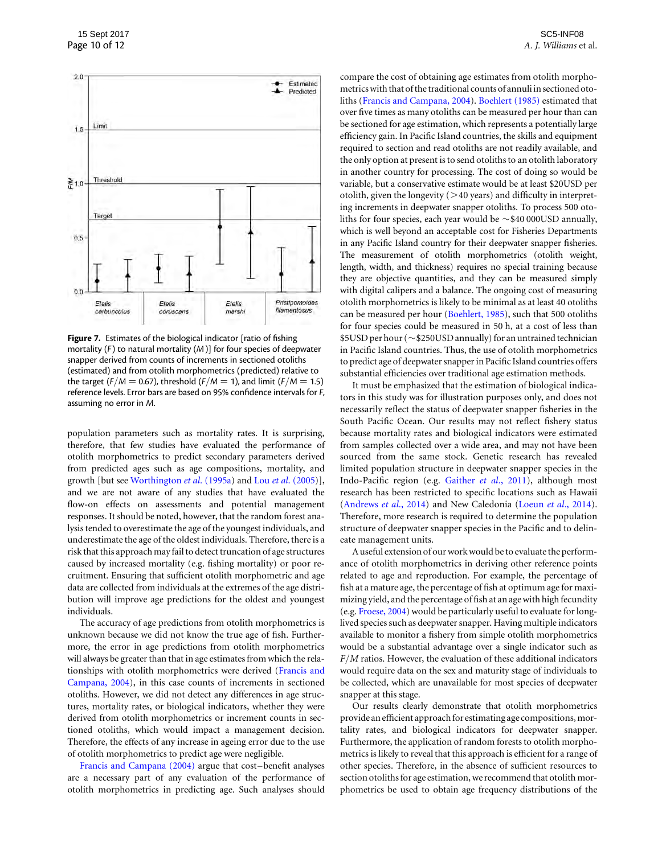<span id="page-11-0"></span>

**Figure 7.** Estimates of the biological indicator fratio of fishing mortality  $(F)$  to natural mortality  $(M)$ ] for four species of deepwater snapper derived from counts of increments in sectioned otoliths (estimated) and from otolith morphometrics (predicted) relative to the target ( $F/M = 0.67$ ), threshold ( $F/M = 1$ ), and limit ( $F/M = 1.5$ ) reference levels. Error bars are based on 95% confidence intervals for F, assuming no error in M.

population parameters such as mortality rates. It is surprising, therefore, that few studies have evaluated the performance of otolith morphometrics to predict secondary parameters derived from predicted ages such as age compositions, mortality, and growth [but see [Worthington](#page-13-0) et al. (1995a) and Lou et al[. \(2005\)](#page-12-0)], and we are not aware of any studies that have evaluated the flow-on effects on assessments and potential management responses. It should be noted, however, that the random forest analysis tended to overestimate the age of the youngest individuals, and underestimate the age of the oldest individuals. Therefore, there is a risk that this approach may fail to detect truncation of age structures caused by increased mortality (e.g. fishing mortality) or poor recruitment. Ensuring that sufficient otolith morphometric and age data are collected from individuals at the extremes of the age distribution will improve age predictions for the oldest and youngest individuals.

The accuracy of age predictions from otolith morphometrics is unknown because we did not know the true age of fish. Furthermore, the error in age predictions from otolith morphometrics will always be greater than that in age estimates from which the relationships with otolith morphometrics were derived ([Francis and](#page-12-0) [Campana, 2004\)](#page-12-0), in this case counts of increments in sectioned otoliths. However, we did not detect any differences in age structures, mortality rates, or biological indicators, whether they were derived from otolith morphometrics or increment counts in sectioned otoliths, which would impact a management decision. Therefore, the effects of any increase in ageing error due to the use of otolith morphometrics to predict age were negligible.

[Francis and Campana \(2004\)](#page-12-0) argue that cost–benefit analyses are a necessary part of any evaluation of the performance of otolith morphometrics in predicting age. Such analyses should

compare the cost of obtaining age estimates from otolith morphometrics with that of the traditional counts of annuli in sectioned otoliths ([Francis and Campana, 2004](#page-12-0)). [Boehlert \(1985\)](#page-12-0) estimated that over five times as many otoliths can be measured per hour than can be sectioned for age estimation, which represents a potentially large efficiency gain. In Pacific Island countries, the skills and equipment required to section and read otoliths are not readily available, and the only option at present is to send otoliths to an otolith laboratory in another country for processing. The cost of doing so would be variable, but a conservative estimate would be at least \$20USD per otolith, given the longevity  $(>40 \text{ years})$  and difficulty in interpreting increments in deepwater snapper otoliths. To process 500 otoliths for four species, each year would be  $\sim$ \$40 000USD annually, which is well beyond an acceptable cost for Fisheries Departments in any Pacific Island country for their deepwater snapper fisheries. The measurement of otolith morphometrics (otolith weight, length, width, and thickness) requires no special training because they are objective quantities, and they can be measured simply with digital calipers and a balance. The ongoing cost of measuring otolith morphometrics is likely to be minimal as at least 40 otoliths can be measured per hour ([Boehlert, 1985\)](#page-12-0), such that 500 otoliths for four species could be measured in 50 h, at a cost of less than  $$5USD$  per hour (  $\sim$   $$250USD$  annually) for an untrained technician in Pacific Island countries. Thus, the use of otolith morphometrics to predict age of deepwater snapper in Pacific Island countries offers substantial efficiencies over traditional age estimation methods.

It must be emphasized that the estimation of biological indicators in this study was for illustration purposes only, and does not necessarily reflect the status of deepwater snapper fisheries in the South Pacific Ocean. Our results may not reflect fishery status because mortality rates and biological indicators were estimated from samples collected over a wide area, and may not have been sourced from the same stock. Genetic research has revealed limited population structure in deepwater snapper species in the Indo-Pacific region (e.g. [Gaither](#page-12-0) et al., 2011), although most research has been restricted to specific locations such as Hawaii [\(Andrews](#page-12-0) et al., 2014) and New Caledonia (Loeun et al[., 2014](#page-12-0)). Therefore, more research is required to determine the population structure of deepwater snapper species in the Pacific and to delineate management units.

A useful extension of our work would be to evaluate the performance of otolith morphometrics in deriving other reference points related to age and reproduction. For example, the percentage of fish at a mature age, the percentage of fish at optimum age for maximizing yield, and the percentage of fish at an age with high fecundity (e.g. [Froese, 2004\)](#page-12-0) would be particularly useful to evaluate for longlived species such as deepwater snapper. Having multiple indicators available to monitor a fishery from simple otolith morphometrics would be a substantial advantage over a single indicator such as  $F/M$  ratios. However, the evaluation of these additional indicators would require data on the sex and maturity stage of individuals to be collected, which are unavailable for most species of deepwater snapper at this stage.

Our results clearly demonstrate that otolith morphometrics provide an efficient approach for estimating age compositions, mortality rates, and biological indicators for deepwater snapper. Furthermore, the application of random forests to otolith morphometrics is likely to reveal that this approach is efficient for a range of other species. Therefore, in the absence of sufficient resources to section otoliths for age estimation, we recommend that otolith morphometrics be used to obtain age frequency distributions of the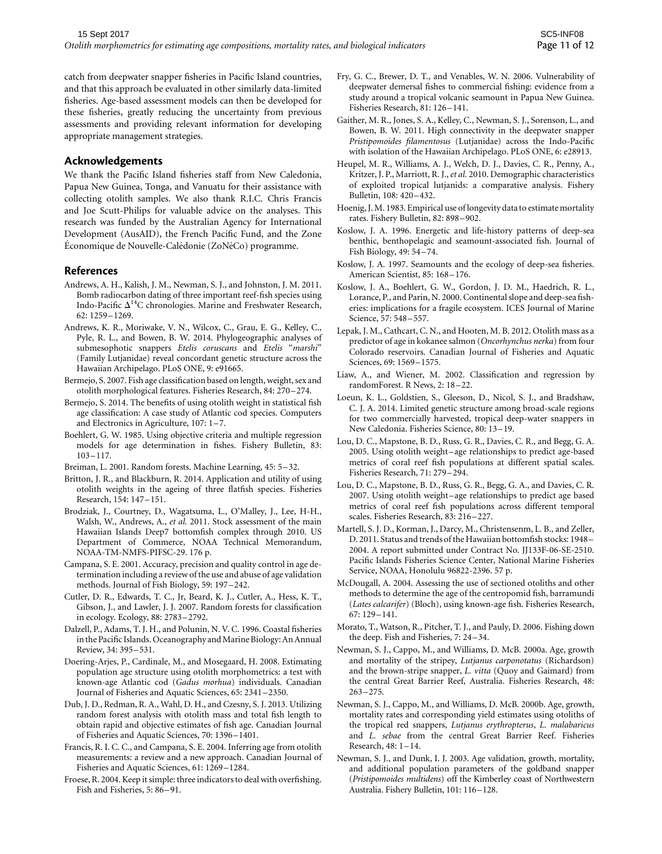<span id="page-12-0"></span>catch from deepwater snapper fisheries in Pacific Island countries, and that this approach be evaluated in other similarly data-limited fisheries. Age-based assessment models can then be developed for these fisheries, greatly reducing the uncertainty from previous assessments and providing relevant information for developing appropriate management strategies.

#### Acknowledgements

We thank the Pacific Island fisheries staff from New Caledonia, Papua New Guinea, Tonga, and Vanuatu for their assistance with collecting otolith samples. We also thank R.I.C. Chris Francis and Joe Scutt-Philips for valuable advice on the analyses. This research was funded by the Australian Agency for International Development (AusAID), the French Pacific Fund, and the Zone Économique de Nouvelle-Calédonie (ZoNéCo) programme.

#### References

- Andrews, A. H., Kalish, J. M., Newman, S. J., and Johnston, J. M. 2011. Bomb radiocarbon dating of three important reef-fish species using Indo-Pacific  $\Delta^{14}$ C chronologies. Marine and Freshwater Research, 62: 1259–1269.
- Andrews, K. R., Moriwake, V. N., Wilcox, C., Grau, E. G., Kelley, C., Pyle, R. L., and Bowen, B. W. 2014. Phylogeographic analyses of submesophotic snappers Etelis coruscans and Etelis "marshi" (Family Lutjanidae) reveal concordant genetic structure across the Hawaiian Archipelago. PLoS ONE, 9: e91665.
- Bermejo, S. 2007. Fish age classification based on length, weight, sex and otolith morphological features. Fisheries Research, 84: 270–274.
- Bermejo, S. 2014. The benefits of using otolith weight in statistical fish age classification: A case study of Atlantic cod species. Computers and Electronics in Agriculture, 107: 1 –7.
- Boehlert, G. W. 1985. Using objective criteria and multiple regression models for age determination in fishes. Fishery Bulletin, 83: 103–117.
- Breiman, L. 2001. Random forests. Machine Learning, 45: 5 –32.
- Britton, J. R., and Blackburn, R. 2014. Application and utility of using otolith weights in the ageing of three flatfish species. Fisheries Research, 154: 147–151.
- Brodziak, J., Courtney, D., Wagatsuma, L., O'Malley, J., Lee, H-H., Walsh, W., Andrews, A., et al. 2011. Stock assessment of the main Hawaiian Islands Deep7 bottomfish complex through 2010. US Department of Commerce, NOAA Technical Memorandum, NOAA-TM-NMFS-PIFSC-29. 176 p.
- Campana, S. E. 2001. Accuracy, precision and quality control in age determination including a review of the use and abuse of age validation methods. Journal of Fish Biology, 59: 197–242.
- Cutler, D. R., Edwards, T. C., Jr, Beard, K. J., Cutler, A., Hess, K. T., Gibson, J., and Lawler, J. J. 2007. Random forests for classification in ecology. Ecology, 88: 2783–2792.
- Dalzell, P., Adams, T. J. H., and Polunin, N. V. C. 1996. Coastal fisheries in the Pacific Islands. Oceanography and Marine Biology: An Annual Review, 34: 395 –531.
- Doering-Arjes, P., Cardinale, M., and Mosegaard, H. 2008. Estimating population age structure using otolith morphometrics: a test with known-age Atlantic cod (Gadus morhua) individuals. Canadian Journal of Fisheries and Aquatic Sciences, 65: 2341 –2350.
- Dub, J. D., Redman, R. A., Wahl, D. H., and Czesny, S. J. 2013. Utilizing random forest analysis with otolith mass and total fish length to obtain rapid and objective estimates of fish age. Canadian Journal of Fisheries and Aquatic Sciences, 70: 1396–1401.
- Francis, R. I. C. C., and Campana, S. E. 2004. Inferring age from otolith measurements: a review and a new approach. Canadian Journal of Fisheries and Aquatic Sciences, 61: 1269–1284.
- Froese, R. 2004. Keep it simple: three indicators to deal with overfishing. Fish and Fisheries, 5: 86–91.
- Fry, G. C., Brewer, D. T., and Venables, W. N. 2006. Vulnerability of deepwater demersal fishes to commercial fishing: evidence from a study around a tropical volcanic seamount in Papua New Guinea. Fisheries Research, 81: 126 –141.
- Gaither, M. R., Jones, S. A., Kelley, C., Newman, S. J., Sorenson, L., and Bowen, B. W. 2011. High connectivity in the deepwater snapper Pristipomoides filamentosus (Lutjanidae) across the Indo-Pacific with isolation of the Hawaiian Archipelago. PLoS ONE, 6: e28913.
- Heupel, M. R., Williams, A. J., Welch, D. J., Davies, C. R., Penny, A., Kritzer, J. P., Marriott, R. J., et al. 2010. Demographic characteristics of exploited tropical lutjanids: a comparative analysis. Fishery Bulletin, 108: 420–432.
- Hoenig, J.M. 1983. Empirical use of longevity data to estimate mortality rates. Fishery Bulletin, 82: 898–902.
- Koslow, J. A. 1996. Energetic and life-history patterns of deep-sea benthic, benthopelagic and seamount-associated fish. Journal of Fish Biology, 49: 54 –74.
- Koslow, J. A. 1997. Seamounts and the ecology of deep-sea fisheries. American Scientist, 85: 168 –176.
- Koslow, J. A., Boehlert, G. W., Gordon, J. D. M., Haedrich, R. L., Lorance, P., and Parin, N. 2000. Continental slope and deep-sea fisheries: implications for a fragile ecosystem. ICES Journal of Marine Science, 57: 548–557.
- Lepak, J. M., Cathcart, C. N., and Hooten, M. B. 2012. Otolith mass as a predictor of age in kokanee salmon (Oncorhynchus nerka) from four Colorado reservoirs. Canadian Journal of Fisheries and Aquatic Sciences, 69: 1569–1575.
- Liaw, A., and Wiener, M. 2002. Classification and regression by randomForest. R News, 2: 18–22.
- Loeun, K. L., Goldstien, S., Gleeson, D., Nicol, S. J., and Bradshaw, C. J. A. 2014. Limited genetic structure among broad-scale regions for two commercially harvested, tropical deep-water snappers in New Caledonia. Fisheries Science, 80: 13–19.
- Lou, D. C., Mapstone, B. D., Russ, G. R., Davies, C. R., and Begg, G. A. 2005. Using otolith weight –age relationships to predict age-based metrics of coral reef fish populations at different spatial scales. Fisheries Research, 71: 279 –294.
- Lou, D. C., Mapstone, B. D., Russ, G. R., Begg, G. A., and Davies, C. R. 2007. Using otolith weight–age relationships to predict age based metrics of coral reef fish populations across different temporal scales. Fisheries Research, 83: 216–227.
- Martell, S. J. D., Korman, J., Darcy, M., Christensenm, L. B., and Zeller, D. 2011. Status and trends of the Hawaiian bottomfish stocks: 1948– 2004. A report submitted under Contract No. JJ133F-06-SE-2510. Pacific Islands Fisheries Science Center, National Marine Fisheries Service, NOAA, Honolulu 96822-2396. 57 p.
- McDougall, A. 2004. Assessing the use of sectioned otoliths and other methods to determine the age of the centropomid fish, barramundi (Lates calcarifer) (Bloch), using known-age fish. Fisheries Research, 67: 129–141.
- Morato, T., Watson, R., Pitcher, T. J., and Pauly, D. 2006. Fishing down the deep. Fish and Fisheries, 7: 24 –34.
- Newman, S. J., Cappo, M., and Williams, D. McB. 2000a. Age, growth and mortality of the stripey, Lutjanus carponotatus (Richardson) and the brown-stripe snapper, L. vitta (Quoy and Gaimard) from the central Great Barrier Reef, Australia. Fisheries Research, 48: 263–275.
- Newman, S. J., Cappo, M., and Williams, D. McB. 2000b. Age, growth, mortality rates and corresponding yield estimates using otoliths of the tropical red snappers, Lutjanus erythropterus, L. malabaricus and L. sebae from the central Great Barrier Reef. Fisheries Research, 48: 1–14.
- Newman, S. J., and Dunk, I. J. 2003. Age validation, growth, mortality, and additional population parameters of the goldband snapper (Pristipomoides multidens) off the Kimberley coast of Northwestern Australia. Fishery Bulletin, 101: 116–128.